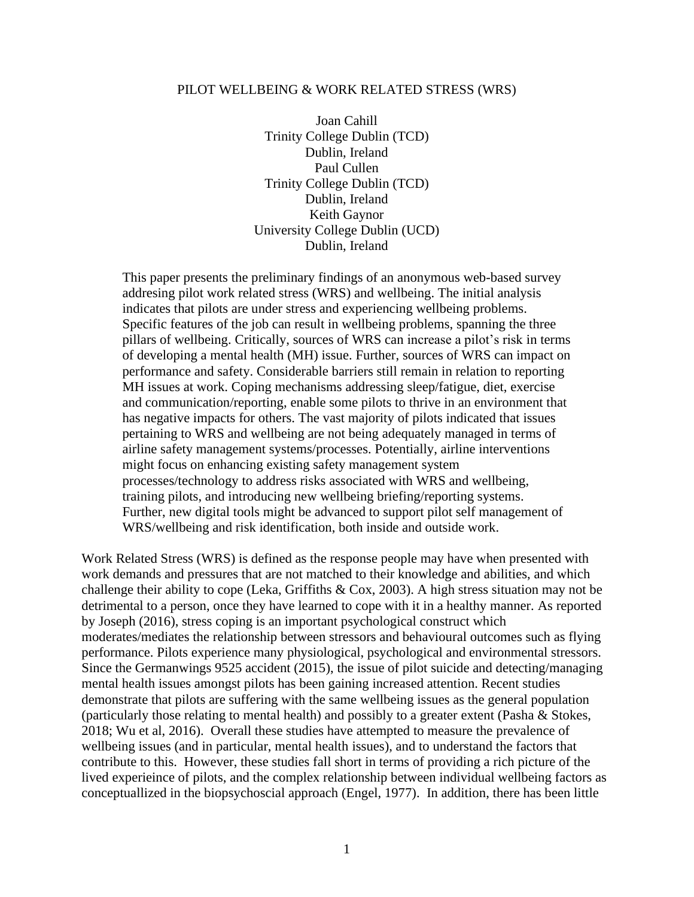#### PILOT WELLBEING & WORK RELATED STRESS (WRS)

Joan Cahill Trinity College Dublin (TCD) Dublin, Ireland Paul Cullen Trinity College Dublin (TCD) Dublin, Ireland Keith Gaynor University College Dublin (UCD) Dublin, Ireland

This paper presents the preliminary findings of an anonymous web-based survey addresing pilot work related stress (WRS) and wellbeing. The initial analysis indicates that pilots are under stress and experiencing wellbeing problems. Specific features of the job can result in wellbeing problems, spanning the three pillars of wellbeing. Critically, sources of WRS can increase a pilot's risk in terms of developing a mental health (MH) issue. Further, sources of WRS can impact on performance and safety. Considerable barriers still remain in relation to reporting MH issues at work. Coping mechanisms addressing sleep/fatigue, diet, exercise and communication/reporting, enable some pilots to thrive in an environment that has negative impacts for others. The vast majority of pilots indicated that issues pertaining to WRS and wellbeing are not being adequately managed in terms of airline safety management systems/processes. Potentially, airline interventions might focus on enhancing existing safety management system processes/technology to address risks associated with WRS and wellbeing, training pilots, and introducing new wellbeing briefing/reporting systems. Further, new digital tools might be advanced to support pilot self management of WRS/wellbeing and risk identification, both inside and outside work.

Work Related Stress (WRS) is defined as the response people may have when presented with work demands and pressures that are not matched to their knowledge and abilities, and which challenge their ability to cope (Leka, Griffiths & Cox, 2003). A high stress situation may not be detrimental to a person, once they have learned to cope with it in a healthy manner. As reported by Joseph (2016), stress coping is an important psychological construct which moderates/mediates the relationship between stressors and behavioural outcomes such as flying performance. Pilots experience many physiological, psychological and environmental stressors. Since the Germanwings 9525 accident (2015), the issue of pilot suicide and detecting/managing mental health issues amongst pilots has been gaining increased attention. Recent studies demonstrate that pilots are suffering with the same wellbeing issues as the general population (particularly those relating to mental health) and possibly to a greater extent (Pasha & Stokes, 2018; Wu et al, 2016). Overall these studies have attempted to measure the prevalence of wellbeing issues (and in particular, mental health issues), and to understand the factors that contribute to this. However, these studies fall short in terms of providing a rich picture of the lived experieince of pilots, and the complex relationship between individual wellbeing factors as conceptuallized in the biopsychoscial approach (Engel, 1977). In addition, there has been little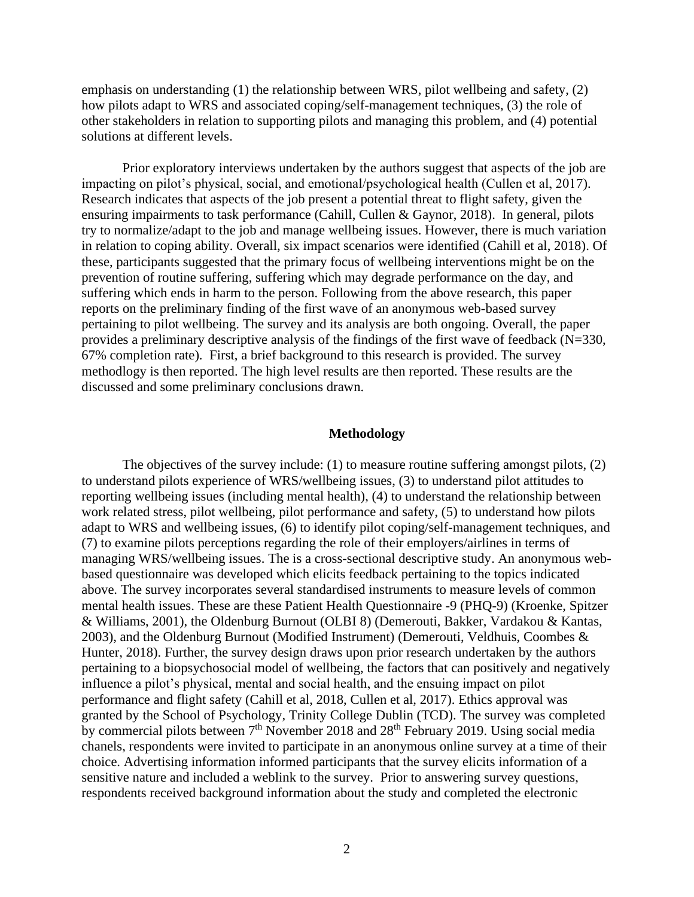emphasis on understanding (1) the relationship between WRS, pilot wellbeing and safety, (2) how pilots adapt to WRS and associated coping/self-management techniques, (3) the role of other stakeholders in relation to supporting pilots and managing this problem, and (4) potential solutions at different levels.

Prior exploratory interviews undertaken by the authors suggest that aspects of the job are impacting on pilot's physical, social, and emotional/psychological health (Cullen et al, 2017). Research indicates that aspects of the job present a potential threat to flight safety, given the ensuring impairments to task performance (Cahill, Cullen & Gaynor, 2018). In general, pilots try to normalize/adapt to the job and manage wellbeing issues. However, there is much variation in relation to coping ability. Overall, six impact scenarios were identified (Cahill et al, 2018). Of these, participants suggested that the primary focus of wellbeing interventions might be on the prevention of routine suffering, suffering which may degrade performance on the day, and suffering which ends in harm to the person. Following from the above research, this paper reports on the preliminary finding of the first wave of an anonymous web-based survey pertaining to pilot wellbeing. The survey and its analysis are both ongoing. Overall, the paper provides a preliminary descriptive analysis of the findings of the first wave of feedback (N=330, 67% completion rate). First, a brief background to this research is provided. The survey methodlogy is then reported. The high level results are then reported. These results are the discussed and some preliminary conclusions drawn.

#### **Methodology**

The objectives of the survey include: (1) to measure routine suffering amongst pilots, (2) to understand pilots experience of WRS/wellbeing issues, (3) to understand pilot attitudes to reporting wellbeing issues (including mental health), (4) to understand the relationship between work related stress, pilot wellbeing, pilot performance and safety, (5) to understand how pilots adapt to WRS and wellbeing issues, (6) to identify pilot coping/self-management techniques, and (7) to examine pilots perceptions regarding the role of their employers/airlines in terms of managing WRS/wellbeing issues. The is a cross-sectional descriptive study. An anonymous webbased questionnaire was developed which elicits feedback pertaining to the topics indicated above. The survey incorporates several standardised instruments to measure levels of common mental health issues. These are these Patient Health Questionnaire -9 (PHQ-9) (Kroenke, Spitzer & Williams, 2001), the Oldenburg Burnout (OLBI 8) (Demerouti, Bakker, Vardakou & Kantas, 2003), and the Oldenburg Burnout (Modified Instrument) (Demerouti, Veldhuis, Coombes & Hunter, 2018). Further, the survey design draws upon prior research undertaken by the authors pertaining to a biopsychosocial model of wellbeing, the factors that can positively and negatively influence a pilot's physical, mental and social health, and the ensuing impact on pilot performance and flight safety (Cahill et al, 2018, Cullen et al, 2017). Ethics approval was granted by the School of Psychology, Trinity College Dublin (TCD). The survey was completed by commercial pilots between 7<sup>th</sup> November 2018 and 28<sup>th</sup> February 2019. Using social media chanels, respondents were invited to participate in an anonymous online survey at a time of their choice. Advertising information informed participants that the survey elicits information of a sensitive nature and included a weblink to the survey. Prior to answering survey questions, respondents received background information about the study and completed the electronic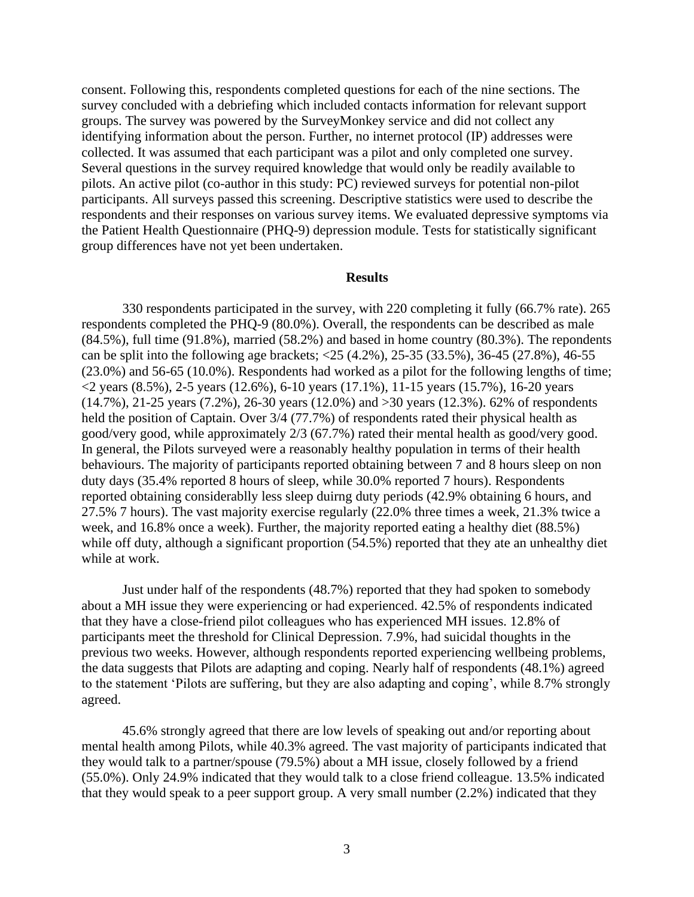consent. Following this, respondents completed questions for each of the nine sections. The survey concluded with a debriefing which included contacts information for relevant support groups. The survey was powered by the SurveyMonkey service and did not collect any identifying information about the person. Further, no internet protocol (IP) addresses were collected. It was assumed that each participant was a pilot and only completed one survey. Several questions in the survey required knowledge that would only be readily available to pilots. An active pilot (co-author in this study: PC) reviewed surveys for potential non-pilot participants. All surveys passed this screening. Descriptive statistics were used to describe the respondents and their responses on various survey items. We evaluated depressive symptoms via the Patient Health Questionnaire (PHQ-9) depression module. Tests for statistically significant group differences have not yet been undertaken.

### **Results**

330 respondents participated in the survey, with 220 completing it fully (66.7% rate). 265 respondents completed the PHQ-9 (80.0%). Overall, the respondents can be described as male  $(84.5\%)$ , full time  $(91.8\%)$ , married  $(58.2\%)$  and based in home country  $(80.3\%)$ . The repondents can be split into the following age brackets; <25 (4.2%), 25-35 (33.5%), 36-45 (27.8%), 46-55 (23.0%) and 56-65 (10.0%). Respondents had worked as a pilot for the following lengths of time;  $\langle 2 \rangle$  years (8.5%), 2-5 years (12.6%), 6-10 years (17.1%), 11-15 years (15.7%), 16-20 years (14.7%), 21-25 years (7.2%), 26-30 years (12.0%) and >30 years (12.3%). 62% of respondents held the position of Captain. Over  $3/4$  (77.7%) of respondents rated their physical health as good/very good, while approximately 2/3 (67.7%) rated their mental health as good/very good. In general, the Pilots surveyed were a reasonably healthy population in terms of their health behaviours. The majority of participants reported obtaining between 7 and 8 hours sleep on non duty days (35.4% reported 8 hours of sleep, while 30.0% reported 7 hours). Respondents reported obtaining considerablly less sleep duirng duty periods (42.9% obtaining 6 hours, and 27.5% 7 hours). The vast majority exercise regularly (22.0% three times a week, 21.3% twice a week, and 16.8% once a week). Further, the majority reported eating a healthy diet (88.5%) while off duty, although a significant proportion (54.5%) reported that they ate an unhealthy diet while at work.

Just under half of the respondents (48.7%) reported that they had spoken to somebody about a MH issue they were experiencing or had experienced. 42.5% of respondents indicated that they have a close-friend pilot colleagues who has experienced MH issues. 12.8% of participants meet the threshold for Clinical Depression. 7.9%, had suicidal thoughts in the previous two weeks. However, although respondents reported experiencing wellbeing problems, the data suggests that Pilots are adapting and coping. Nearly half of respondents (48.1%) agreed to the statement 'Pilots are suffering, but they are also adapting and coping', while 8.7% strongly agreed.

45.6% strongly agreed that there are low levels of speaking out and/or reporting about mental health among Pilots, while 40.3% agreed. The vast majority of participants indicated that they would talk to a partner/spouse (79.5%) about a MH issue, closely followed by a friend (55.0%). Only 24.9% indicated that they would talk to a close friend colleague. 13.5% indicated that they would speak to a peer support group. A very small number (2.2%) indicated that they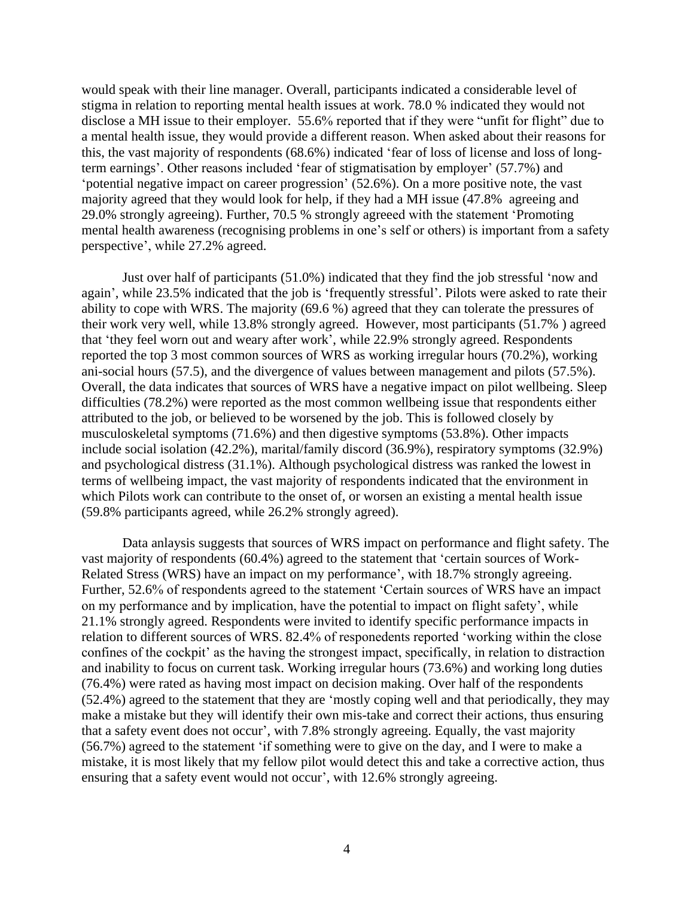would speak with their line manager. Overall, participants indicated a considerable level of stigma in relation to reporting mental health issues at work. 78.0 % indicated they would not disclose a MH issue to their employer. 55.6% reported that if they were "unfit for flight" due to a mental health issue, they would provide a different reason. When asked about their reasons for this, the vast majority of respondents (68.6%) indicated 'fear of loss of license and loss of longterm earnings'. Other reasons included 'fear of stigmatisation by employer' (57.7%) and 'potential negative impact on career progression' (52.6%). On a more positive note, the vast majority agreed that they would look for help, if they had a MH issue (47.8% agreeing and 29.0% strongly agreeing). Further, 70.5 % strongly agreeed with the statement 'Promoting mental health awareness (recognising problems in one's self or others) is important from a safety perspective', while 27.2% agreed.

Just over half of participants (51.0%) indicated that they find the job stressful 'now and again', while 23.5% indicated that the job is 'frequently stressful'. Pilots were asked to rate their ability to cope with WRS. The majority (69.6 %) agreed that they can tolerate the pressures of their work very well, while 13.8% strongly agreed. However, most participants (51.7% ) agreed that 'they feel worn out and weary after work', while 22.9% strongly agreed. Respondents reported the top 3 most common sources of WRS as working irregular hours (70.2%), working ani-social hours (57.5), and the divergence of values between management and pilots (57.5%). Overall, the data indicates that sources of WRS have a negative impact on pilot wellbeing. Sleep difficulties (78.2%) were reported as the most common wellbeing issue that respondents either attributed to the job, or believed to be worsened by the job. This is followed closely by musculoskeletal symptoms (71.6%) and then digestive symptoms (53.8%). Other impacts include social isolation (42.2%), marital/family discord (36.9%), respiratory symptoms (32.9%) and psychological distress (31.1%). Although psychological distress was ranked the lowest in terms of wellbeing impact, the vast majority of respondents indicated that the environment in which Pilots work can contribute to the onset of, or worsen an existing a mental health issue (59.8% participants agreed, while 26.2% strongly agreed).

Data anlaysis suggests that sources of WRS impact on performance and flight safety. The vast majority of respondents (60.4%) agreed to the statement that 'certain sources of Work-Related Stress (WRS) have an impact on my performance', with 18.7% strongly agreeing. Further, 52.6% of respondents agreed to the statement 'Certain sources of WRS have an impact on my performance and by implication, have the potential to impact on flight safety', while 21.1% strongly agreed. Respondents were invited to identify specific performance impacts in relation to different sources of WRS. 82.4% of responedents reported 'working within the close confines of the cockpit' as the having the strongest impact, specifically, in relation to distraction and inability to focus on current task. Working irregular hours (73.6%) and working long duties (76.4%) were rated as having most impact on decision making. Over half of the respondents (52.4%) agreed to the statement that they are 'mostly coping well and that periodically, they may make a mistake but they will identify their own mis-take and correct their actions, thus ensuring that a safety event does not occur', with 7.8% strongly agreeing. Equally, the vast majority (56.7%) agreed to the statement 'if something were to give on the day, and I were to make a mistake, it is most likely that my fellow pilot would detect this and take a corrective action, thus ensuring that a safety event would not occur', with 12.6% strongly agreeing.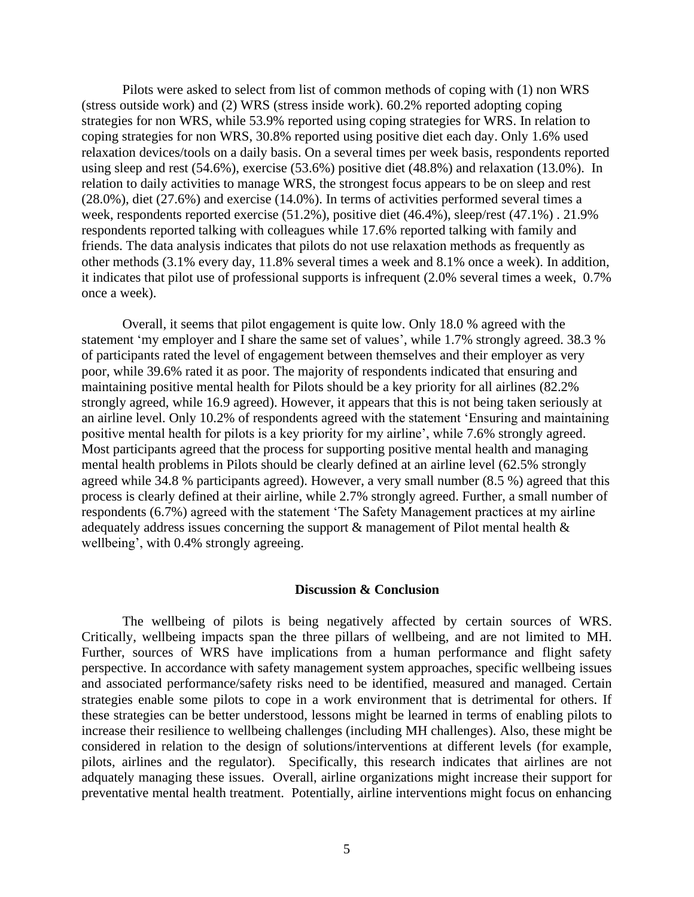Pilots were asked to select from list of common methods of coping with (1) non WRS (stress outside work) and (2) WRS (stress inside work). 60.2% reported adopting coping strategies for non WRS, while 53.9% reported using coping strategies for WRS. In relation to coping strategies for non WRS, 30.8% reported using positive diet each day. Only 1.6% used relaxation devices/tools on a daily basis. On a several times per week basis, respondents reported using sleep and rest (54.6%), exercise (53.6%) positive diet (48.8%) and relaxation (13.0%). In relation to daily activities to manage WRS, the strongest focus appears to be on sleep and rest (28.0%), diet (27.6%) and exercise (14.0%). In terms of activities performed several times a week, respondents reported exercise (51.2%), positive diet (46.4%), sleep/rest (47.1%) . 21.9% respondents reported talking with colleagues while 17.6% reported talking with family and friends. The data analysis indicates that pilots do not use relaxation methods as frequently as other methods (3.1% every day, 11.8% several times a week and 8.1% once a week). In addition, it indicates that pilot use of professional supports is infrequent (2.0% several times a week, 0.7% once a week).

Overall, it seems that pilot engagement is quite low. Only 18.0 % agreed with the statement 'my employer and I share the same set of values', while 1.7% strongly agreed. 38.3 % of participants rated the level of engagement between themselves and their employer as very poor, while 39.6% rated it as poor. The majority of respondents indicated that ensuring and maintaining positive mental health for Pilots should be a key priority for all airlines (82.2% strongly agreed, while 16.9 agreed). However, it appears that this is not being taken seriously at an airline level. Only 10.2% of respondents agreed with the statement 'Ensuring and maintaining positive mental health for pilots is a key priority for my airline', while 7.6% strongly agreed. Most participants agreed that the process for supporting positive mental health and managing mental health problems in Pilots should be clearly defined at an airline level (62.5% strongly agreed while 34.8 % participants agreed). However, a very small number (8.5 %) agreed that this process is clearly defined at their airline, while 2.7% strongly agreed. Further, a small number of respondents (6.7%) agreed with the statement 'The Safety Management practices at my airline adequately address issues concerning the support & management of Pilot mental health & wellbeing', with 0.4% strongly agreeing.

#### **Discussion & Conclusion**

The wellbeing of pilots is being negatively affected by certain sources of WRS. Critically, wellbeing impacts span the three pillars of wellbeing, and are not limited to MH. Further, sources of WRS have implications from a human performance and flight safety perspective. In accordance with safety management system approaches, specific wellbeing issues and associated performance/safety risks need to be identified, measured and managed. Certain strategies enable some pilots to cope in a work environment that is detrimental for others. If these strategies can be better understood, lessons might be learned in terms of enabling pilots to increase their resilience to wellbeing challenges (including MH challenges). Also, these might be considered in relation to the design of solutions/interventions at different levels (for example, pilots, airlines and the regulator). Specifically, this research indicates that airlines are not adquately managing these issues. Overall, airline organizations might increase their support for preventative mental health treatment. Potentially, airline interventions might focus on enhancing